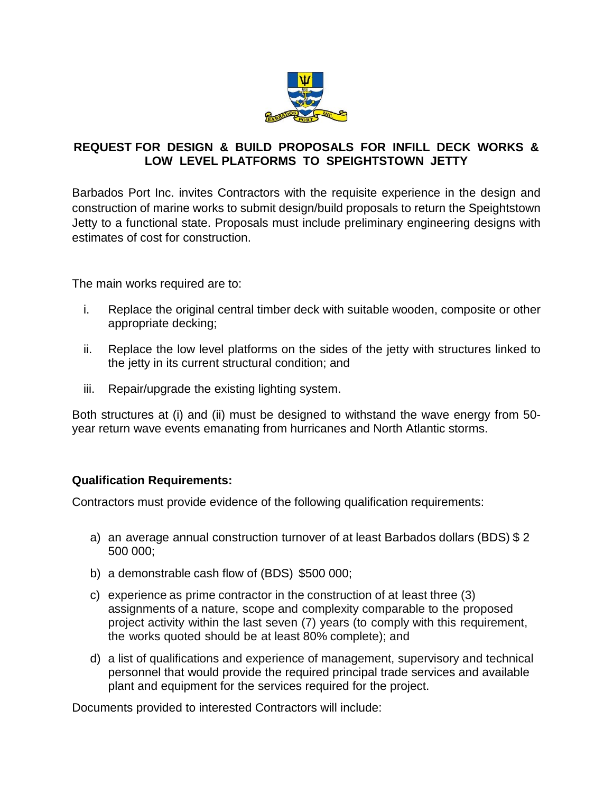

## **REQUEST FOR DESIGN & BUILD PROPOSALS FOR INFILL DECK WORKS & LOW LEVEL PLATFORMS TO SPEIGHTSTOWN JETTY**

Barbados Port Inc. invites Contractors with the requisite experience in the design and construction of marine works to submit design/build proposals to return the Speightstown Jetty to a functional state. Proposals must include preliminary engineering designs with estimates of cost for construction.

The main works required are to:

- i. Replace the original central timber deck with suitable wooden, composite or other appropriate decking;
- ii. Replace the low level platforms on the sides of the jetty with structures linked to the jetty in its current structural condition; and
- iii. Repair/upgrade the existing lighting system.

Both structures at (i) and (ii) must be designed to withstand the wave energy from 50 year return wave events emanating from hurricanes and North Atlantic storms.

## **Qualification Requirements:**

Contractors must provide evidence of the following qualification requirements:

- a) an average annual construction turnover of at least Barbados dollars (BDS) \$ 2 500 000;
- b) a demonstrable cash flow of (BDS) \$500 000;
- c) experience as prime contractor in the construction of at least three (3) assignments of a nature, scope and complexity comparable to the proposed project activity within the last seven (7) years (to comply with this requirement, the works quoted should be at least 80% complete); and
- d) a list of qualifications and experience of management, supervisory and technical personnel that would provide the required principal trade services and available plant and equipment for the services required for the project.

Documents provided to interested Contractors will include: